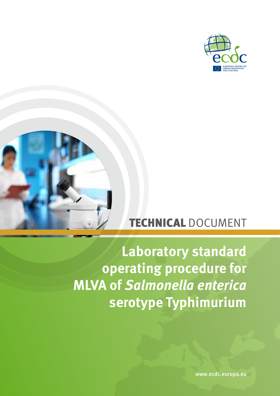



# TECHNICAL DOCUMENT

# **Laboratory standard operating procedure for MLVA of** *Salmonella enterica* **serotype Typhimurium**

www.ecdc.europa.eu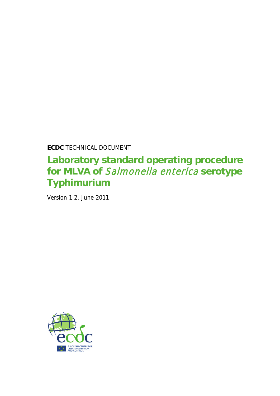**ECDC** TECHNICAL DOCUMENT

## **Laboratory standard operating procedure for MLVA of** Salmonella enterica **serotype Typhimurium**

Version 1.2. June 2011

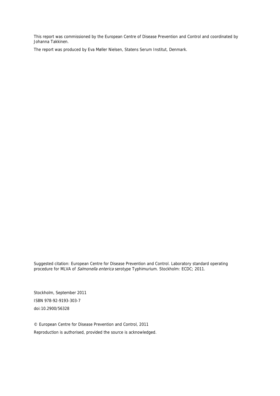This report was commissioned by the European Centre of Disease Prevention and Control and coordinated by Johanna Takkinen.

The report was produced by Eva Møller Nielsen, Statens Serum Institut, Denmark.

Suggested citation: European Centre for Disease Prevention and Control. Laboratory standard operating procedure for MLVA of *Salmonella enterica* serotype Typhimurium. Stockholm: ECDC; 2011.

Stockholm, September 2011 ISBN 978-92-9193-303-7 doi:10.2900/56328

© European Centre for Disease Prevention and Control, 2011 Reproduction is authorised, provided the source is acknowledged.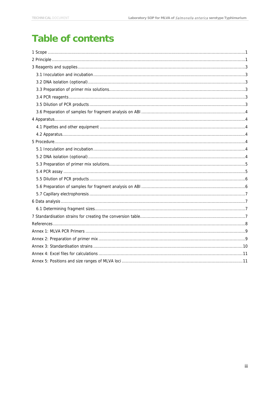# **Table of contents**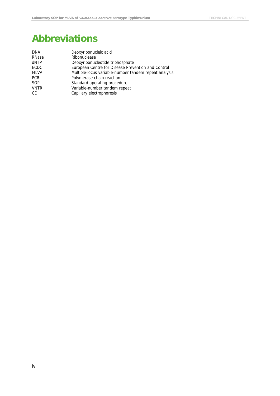## **Abbreviations**

| <b>DNA</b>  | Deoxyribonucleic acid                                 |
|-------------|-------------------------------------------------------|
| RNase       | Ribonuclease                                          |
| dNTP        | Deoxyribonucleotide triphosphate                      |
| ECDC        | European Centre for Disease Prevention and Control    |
| <b>MLVA</b> | Multiple-locus variable-number tandem repeat analysis |
| <b>PCR</b>  | Polymerase chain reaction                             |
| SOP         | Standard operating procedure                          |
| <b>VNTR</b> | Variable-number tandem repeat                         |
| СE          | Capillary electrophoresis                             |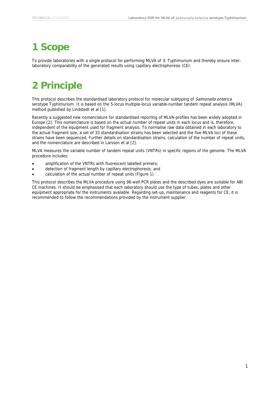### <span id="page-5-0"></span>**1 Scope**

To provide laboratories with a single protocol for performing MLVA of S. Typhimurium and thereby ensure interlaboratory comparability of the generated results using capillary electrophoresis (CE).

# <span id="page-5-1"></span>**2 Principle**

This protocol describes the standardised laboratory protocol for molecular subtyping of Salmonella enterica serotype Typhimurium. It is based on the 5-locus multiple-locus variable-number tandem repeat analysis (MLVA) method published by Lindstedt et al [\[1\]](#page-12-1).

Recently a suggested new nomenclature for standardised reporting of MLVA-profiles has been widely adopted in Europe [\[2\]](#page-12-2). This nomenclature is based on the actual number of repeat units in each locus and is, therefore, independent of the equipment used for fragment analysis. To normalise raw data obtained in each laboratory to the actual fragment size, a set of 33 standardisation strains has been selected and the five MLVA loci of these strains have been sequenced. Further details on standardisation strains, calculation of the number of repeat units, and the nomenclature are described in Larsson et al [\[2\]](#page-12-2).

MLVA measures the variable number of tandem repeat units (VNTRs) in specific regions of the genome. The MLVA procedure includes:

- amplification of the VNTRs with fluorescent labelled primers;
- detection of fragment length by capillary electrophoresis; and
- calculation of the actual number of repeat units (Figure 1).

This protocol describes the MLVA procedure using 96-well PCR plates and the described dyes are suitable for ABI CE machines. It should be emphasised that each laboratory should use the type of tubes, plates and other equipment appropriate for the instruments available. Regarding set-up, maintenance and reagents for CE, it is recommended to follow the recommendations provided by the instrument supplier.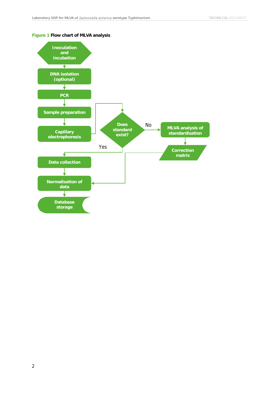

#### **Figure 1 Flow chart of MLVA analysis**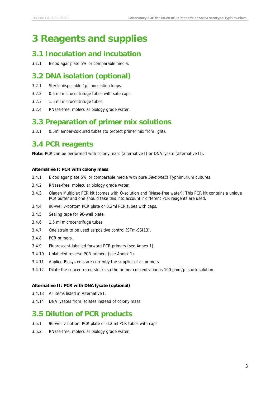### <span id="page-7-0"></span>**3 Reagents and supplies**

#### <span id="page-7-1"></span>**3.1 Inoculation and incubation**

3.1.1 Blood agar plate 5% or comparable media.

#### <span id="page-7-2"></span>**3.2 DNA isolation (optional)**

- 3.2.1 Sterile disposable 1µl inoculation loops.
- 3.2.2 0.5 ml microcentrifuge tubes with safe caps.
- 3.2.3 1.5 ml microcentrifuge tubes.
- 3.2.4 RNase-free, molecular biology grade water.

#### <span id="page-7-3"></span>**3.3 Preparation of primer mix solutions**

3.3.1 0.5ml amber-coloured tubes (to protect primer mix from light).

#### <span id="page-7-4"></span>**3.4 PCR reagents**

**Note:** PCR can be performed with colony mass (alternative I) or DNA lysate (alternative II).

#### **Alternative I: PCR with colony mass**

- 3.4.1 Blood agar plate 5% or comparable media with pure *Salmonella* Typhimurium cultures.
- 3.4.2 RNase-free, molecular biology grade water.
- 3.4.3 Qiagen Multiplex PCR kit (comes with Q-solution and RNase-free water). This PCR kit contains a unique PCR buffer and one should take this into account if different PCR reagents are used.
- 3.4.4 96-well v-bottom PCR plate or 0.2ml PCR tubes with caps.
- 3.4.5 Sealing tape for 96-well plate.
- 3.4.6 1.5 ml microcentrifuge tubes.
- 3.4.7 One strain to be used as positive control (STm-SSI13).
- 3.4.8 PCR primers.
- 3.4.9 Fluorescent-labelled forward PCR primers (see Annex 1).
- 3.4.10 Unlabeled reverse PCR primers (see Annex 1).
- 3.4.11 Applied Biosystems are currently the supplier of all primers.
- 3.4.12 Dilute the concentrated stocks so the primer concentration is 100 pmol/µl stock solution.

#### **Alternative II: PCR with DNA lysate (optional)**

- 3.4.13 All items listed in Alternative I.
- 3.4.14 DNA lysates from isolates instead of colony mass.

#### <span id="page-7-5"></span>**3.5 Dilution of PCR products**

- 3.5.1 96-well v-bottom PCR plate or 0.2 ml PCR tubes with caps.
- 3.5.2 RNase-free, molecular biology grade water.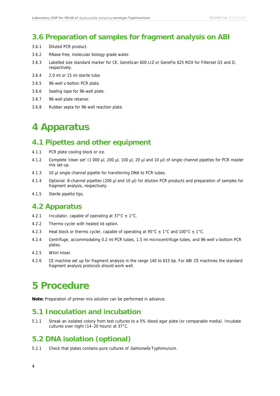#### <span id="page-8-0"></span>**3.6 Preparation of samples for fragment analysis on ABI**

- 3.6.1 Diluted PCR product.
- 3.6.2 RNase-free, molecular biology grade water.
- 3.6.3 Labelled size standard marker for CE. GeneScan 600 LIZ or GeneFlo 625 ROX for Filterset G5 and D, respectively.
- 3.6.4 2.0 ml or 15 ml sterile tube.
- 3.6.5 96-well v-botton PCR plate.
- 3.6.6 Sealing tape for 96-well plate.
- 3.6.7 96-well plate retainer.
- <span id="page-8-1"></span>3.6.8 Rubber septa for 96-well reaction plate.

### **4 Apparatus**

### <span id="page-8-2"></span>**4.1 Pipettes and other equipment**

- 4.1.1 PCR plate cooling block or ice.
- 4.1.2 Complete 'clean set' (1 000 µl, 200 µl, 100 µl, 20 µl and 10 µl) of single channel pipettes for PCR master mix set-up.
- 4.1.3 10 µl single channel pipette for transferring DNA to PCR tubes.
- 4.1.4 Optional: 8-channel pipettes (200 µl and 10 µl) for dilution PCR products and preparation of samples for fragment analysis, respectively.
- 4.1.5 Sterile pipette tips.

#### <span id="page-8-3"></span>**4.2 Apparatus**

- 4.2.1 Incubator, capable of operating at  $37^{\circ}$ C  $\pm$  1°C.
- 4.2.2 Thermo cycler with heated lid option.
- 4.2.3 Heat block or thermo cycler, capable of operating at  $95^{\circ}$ C  $\pm$  1°C and 100°C  $\pm$  1°C.
- 4.2.4 Centrifuge, accommodating 0.2 ml PCR tubes, 1.5 ml microcentrifuge tubes, and 96-well v-bottom PCR plates.
- 4.2.5 Whirl mixer.
- 4.2.6 CE machine set up for fragment analysis in the range 140 to 615 bp. For ABI CE machines the standard fragment analysis protocols should work well.

### <span id="page-8-4"></span>**5 Procedure**

**Note:** Preparation of primer mix solution can be performed in advance.

#### <span id="page-8-5"></span>**5.1 Inoculation and incubation**

5.1.1 Streak an isolated colony from test cultures to a 5% blood agar plate (or comparable media). Incubate cultures over night (14–20 hours) at 37°C.

#### <span id="page-8-6"></span>**5.2 DNA isolation (optional)**

5.2.1 Check that plates contains pure cultures of Salmonella Typhimurium.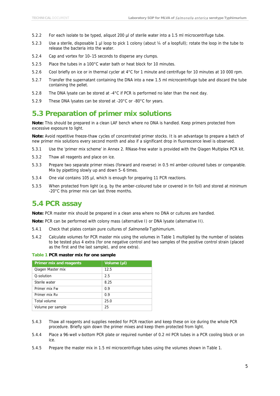- 5.2.2 For each isolate to be typed, aliquot 200 µl of sterile water into a 1.5 ml microcentrifuge tube.
- 5.2.3 Use a sterile, disposable 1 µl loop to pick 1 colony (about ¼ of a loopfull); rotate the loop in the tube to release the bacteria into the water.
- 5.2.4 Cap and vortex for 10–15 seconds to disperse any clumps.
- 5.2.5 Place the tubes in a 100°C water bath or heat block for 10 minutes.
- 5.2.6 Cool briefly on ice or in thermal cycler at 4°C for 1 minute and centrifuge for 10 minutes at 10 000 rpm.
- 5.2.7 Transfer the supernatant containing the DNA into a new 1.5 ml microcentrifuge tube and discard the tube containing the pellet.
- 5.2.8 The DNA lysate can be stored at -4°C if PCR is performed no later than the next day.
- 5.2.9 These DNA lysates can be stored at -20°C or -80°C for years.

### <span id="page-9-0"></span>**5.3 Preparation of primer mix solutions**

**Note:** This should be prepared in a clean LAF bench where no DNA is handled. Keep primers protected from excessive exposure to light.

**Note:** Avoid repetitive freeze-thaw cycles of concentrated primer stocks. It is an advantage to prepare a batch of new primer mix solutions every second month and also if a significant drop in fluorescence level is observed.

- 5.3.1 Use the 'primer mix scheme' in Annex 2. RNase-free water is provided with the Qiagen Multiplex PCR kit.
- 5.3.2 Thaw all reagents and place on ice.
- 5.3.3 Prepare two separate primer mixes (forward and reverse) in 0.5 ml amber-coloured tubes or comparable. Mix by pipetting slowly up and down 5–6 times.
- 5.3.4 One vial contains 105 µl, which is enough for preparing 11 PCR reactions.
- 5.3.5 When protected from light (e.g. by the amber-coloured tube or covered in tin foil) and stored at minimum -20°C this primer mix can last three months.

#### <span id="page-9-1"></span>**5.4 PCR assay**

**Note:** PCR master mix should be prepared in a clean area where no DNA or cultures are handled.

**Note:** PCR can be performed with colony mass (alternative I) or DNA lysate (alternative II).

- 5.4.1 Check that plates contain pure cultures of Salmonella Typhimurium.
- 5.4.2 Calculate volumes for PCR master mix using the volumes in Table 1 multiplied by the number of isolates to be tested plus 4 extra (for one negative control and two samples of the positive control strain (placed as the first and the last sample), and one extra).

**Table 1 PCR master mix for one sample**

| <b>Primer mix and reagents</b> | Volume (µl) |
|--------------------------------|-------------|
| Qiagen Master mix              | 12.5        |
| O-solution                     | 2.5         |
| Sterile water                  | 8.25        |
| Primer mix Fw                  | 0.9         |
| Primer mix Ry                  | 0.9         |
| Total volume                   | 25.0        |
| Volume per sample              | 25          |

- 5.4.3 Thaw all reagents and supplies needed for PCR reaction and keep these on ice during the whole PCR procedure. Briefly spin down the primer mixes and keep them protected from light.
- 5.4.4 Place a 96-well v-bottom PCR plate or required number of 0.2 ml PCR tubes in a PCR cooling block or on ice.
- 5.4.5 Prepare the master mix in 1.5 ml microcentrifuge tubes using the volumes shown in Table 1.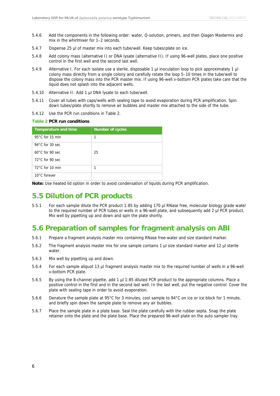- 5.4.6 Add the components in the following order: water, Q-solution, primers, and then Qiagen Mastermix and mix in the whirlmixer for 1–2 seconds.
- 5.4.7 Dispense 25 µl of master mix into each tube/well. Keep tubes/plate on ice.
- 5.4.8 Add colony mass (alternative I) or DNA lysate (alternative II). If using 96-well plates, place one positive control in the first well and the second last well.
- 5.4.9 Alternative I. For each isolate use a sterile, disposable 1 µl inoculation loop to pick approximately 1 µl colony mass directly from a single colony and carefully rotate the loop 5–10 times in the tube/well to dispose the colony mass into the PCR master mix. If using 96-well v-bottom PCR plates take care that the liquid does not splash into the adjacent wells.
- 5.4.10 Alternative II: Add 1 µl DNA lysate to each tube/well.
- 5.4.11 Cover all tubes with caps/wells with sealing tape to avoid evaporation during PCR amplification. Spin down tubes/plate shortly to remove air bubbles and master mix attached to the side of the tube.
- 5.4.12 Use the PCR run conditions in Table 2.

#### **Table 2 PCR run conditions**

| <b>Temperature and time</b> | <b>Number of cycles</b> |
|-----------------------------|-------------------------|
| 95 $\degree$ C for 15 min   | 1                       |
| 94 $\degree$ C for 30 sec   |                         |
| $60^{\circ}$ C for 90 sec   | 25                      |
| $72^{\circ}$ C for 90 sec   |                         |
| $72^{\circ}$ C for 10 min   | 1                       |
| 10°C forever                |                         |

**Note:** Use heated lid option in order to avoid condensation of liquids during PCR amplification.

#### <span id="page-10-0"></span>**5.5 Dilution of PCR products**

5.5.1 For each sample dilute the PCR product 1:85 by adding 170 µl RNase free, molecular biology grade water to the required number of PCR tubes or wells in a 96-well plate, and subsequently add 2 µl PCR product. Mix well by pipetting up and down and spin the plate shortly.

#### <span id="page-10-1"></span>**5.6 Preparation of samples for fragment analysis on ABI**

- 5.6.1 Prepare a fragment analysis master mix containing RNase free-water and size standard marker.
- 5.6.2 The fragment analysis master mix for one sample contains 1 µl size standard marker and 12 µl sterile water.
- 5.6.3 Mix well by pipetting up and down.
- 5.6.4 For each sample aliquot 13 µl fragment analysis master mix to the required number of wells in a 96-well v-bottom PCR plate.
- 5.6.5 By using the 8-channel pipette, add 1 µl 1:85 diluted PCR product to the appropriate columns. Place a positive control in the first and in the second last well. In the last well, put the negative control. Cover the plate with sealing tape in order to avoid evaporation.
- 5.6.6 Denature the sample plate at 95°C for 3 minutes, cool sample to 94°C on ice or ice block for 1 minute, and briefly spin down the sample plate to remove any air bubbles.
- 5.6.7 Place the sample plate in a plate base. Seal the plate carefully with the rubber septa. Snap the plate retainer onto the plate and the plate base. Place the prepared 96-well plate on the auto sampler tray.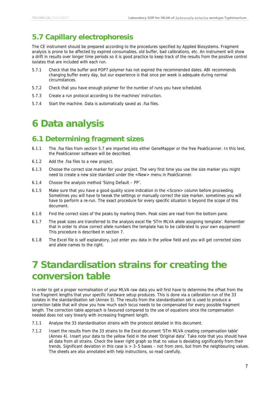### <span id="page-11-0"></span>**5.7 Capillary electrophoresis**

The CE instrument should be prepared according to the procedures specified by Applied Biosystems. Fragment analysis is prone to be affected by expired consumables, old buffer, bad calibrations, etc. An instrument will show a drift in results over longer time periods so it is good practice to keep track of the results from the positive control isolates that are included with each run.

- 5.7.1 Check that the buffer and POP7 polymer has not expired the recommended dates. ABI recommends changing buffer every day, but our experience is that once per week is adequate during normal circumstances.
- 5.7.2 Check that you have enough polymer for the number of runs you have scheduled.
- 5.7.3 Create a run protocol according to the machines' instruction.
- <span id="page-11-1"></span>5.7.4 Start the machine. Data is automatically saved as .fsa files.

### **6 Data analysis**

#### <span id="page-11-2"></span>**6.1 Determining fragment sizes**

- 6.1.1 The .fsa files from section 5.7 are imported into either GeneMapper or the free PeakScanner. In this text, the PeakScanner software will be described.
- 6.1.2 Add the .fsa files to a new project.
- 6.1.3 Choose the correct size marker for your project. The very first time you use the size marker you might need to create a new size standard under the <New> menu in PeakScanner.
- 6.1.4 Choose the analysis method 'Sizing Default PP'.
- 6.1.5 Make sure that you have a good quality score indication in the <Score> column before proceeding. Sometimes you will have to tweak the settings or manually correct the size marker, sometimes you will have to perform a re-run. The exact procedure for every specific situation is beyond the scope of this document.
- 6.1.6 Find the correct sizes of the peaks by marking them. Peak sizes are read from the bottom pane.
- 6.1.7 The peak sizes are transferred to the analysis excel file 'STm MLVA allele assigning template'. Remember that in order to show correct allele numbers the template has to be calibrated to your own equipment! This procedure is described in section 7.
- 6.1.8 The Excel file is self explanatory, just enter you data in the yellow field and you will get corrected sizes and allele names to the right.

### <span id="page-11-3"></span>**7 Standardisation strains for creating the conversion table**

In order to get a proper normalisation of your MLVA raw data you will first have to determine the offset from the true fragment lengths that your specific hardware setup produces. This is done via a calibration run of the 33 isolates in the standardisation set (Annex 3). The results from the standardisation set is used to produce a correction table that will show you how much each locus needs to be compensated for every possible fragment length. The correction table approach is favoured compared to the use of equations since the compensation needed does not vary linearly with increasing fragment length.

- 7.1.1 Analyse the 33 standardisation strains with the protocol detailed in this document.
- 7.1.2 Insert the results from the 33 strains to the Excel document 'STm MLVA creating compensation table' (Annex 4). Insert your data to the yellow field in the sheet 'Original data'. Take note that you should have all data from all strains. Check the lower right graph so that no value is deviating significantly from their trends. Significant deviation in this case is > 3–5 bases – not from zero, but from the neighbouring values. The sheets are also annotated with help instructions, so read carefully.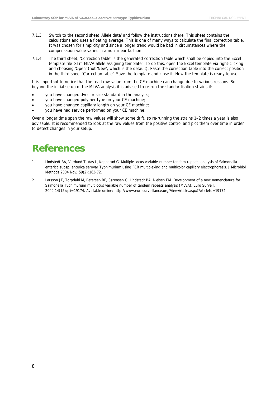- 7.1.3 Switch to the second sheet 'Allele data' and follow the instructions there. This sheet contains the calculations and uses a floating average. This is one of many ways to calculate the final correction table. It was chosen for simplicity and since a longer trend would be bad in circumstances where the compensation value varies in a non-linear fashion.
- 7.1.4 The third sheet, 'Correction table' is the generated correction table which shall be copied into the Excel template file 'STm MLVA allele assigning template'. To do this, open the Excel template via right-clicking and choosing 'Open' (not 'New', which is the default). Paste the correction table into the correct position in the third sheet 'Correction table'. Save the template and close it. Now the template is ready to use.

It is important to notice that the read raw value from the CE machine can change due to various reasons. So beyond the initial setup of the MLVA analysis it is advised to re-run the standardisation strains if:

- you have changed dyes or size standard in the analysis;
- you have changed polymer type on your CE machine;
- you have changed capillary length on your CE machine;
- you have had service performed on your CE machine.

Over a longer time span the raw values will show some drift, so re-running the strains 1–2 times a year is also advisable. It is recommended to look at the raw values from the positive control and plot them over time in order to detect changes in your setup.

### <span id="page-12-0"></span>**References**

- <span id="page-12-1"></span>1. Lindstedt BA, Vardund T, Aas L, Kapperud G. Multiple-locus variable-number tandem-repeats analysis of Salmonella enterica subsp. enterica serovar Typhimurium using PCR multiplexing and multicolor capillary electrophoresis. J Microbiol Methods 2004 Nov; 59(2):163-72.
- <span id="page-12-2"></span>2. Larsson JT, Torpdahl M, Petersen RF, Sørensen G, Lindstedt BA, Nielsen EM. Development of a new nomenclature for Salmonella Typhimurium multilocus variable number of tandem repeats analysis (MLVA). Euro Surveill. 2009;14(15):pii=19174. Available online: http://www.eurosurveillance.org/ViewArticle.aspx?ArticleId=19174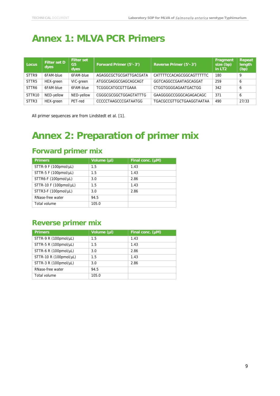# <span id="page-13-0"></span>**Annex 1: MLVA PCR Primers**

| Locus              | <b>Filter set D</b><br>dyes | <b>Filter set</b><br>G5<br>dyes | Forward Primer (5'-3')   | Reverse Primer (5'-3')   | Fragment<br>size (bp)<br>in LT <sub>2</sub> | Repeat<br>length<br>(bp) |
|--------------------|-----------------------------|---------------------------------|--------------------------|--------------------------|---------------------------------------------|--------------------------|
| STTR9              | 6FAM-blue                   | 6FAM-blue                       | AGAGGCGCTGCGATTGACGATA   | CATTTTCCACAGCGGCAGTTTTTC | 180                                         | 9                        |
| STTR <sub>5</sub>  | HEX-green                   | VIC-green                       | ATGGCGAGGCGAGCAGCAGT     | GGTCAGGCCGAATAGCAGGAT    | 259                                         | 6                        |
| STTR6              | 6FAM-blue                   | 6FAM-blue                       | <b>TCGGGCATGCGTTGAAA</b> | CTGGTGGGGAGAATGACTGG     | 342                                         | 6                        |
| STTR <sub>10</sub> | NED-yellow                  | NED-yellow                      | CGGGCGCGGCTGGAGTATTTG    | GAAGGGGCCGGGCAGAGACAGC   | 371                                         | 6                        |
| STTR <sub>3</sub>  | HEX-green                   | PET-red                         | CCCCCTAAGCCCGATAATGG     | TGACGCCGTTGCTGAAGGTAATAA | 490                                         | 27/33                    |

<span id="page-13-1"></span>All primer sequences are from Lindstedt et al. [1].

## **Annex 2: Preparation of primer mix**

### **Forward primer mix**

| <b>Primers</b>               | Volume (µl) | Final conc. $(\mu M)$ |
|------------------------------|-------------|-----------------------|
| STTR-9 F $(100$ pmol/µL)     | 1.5         | 1.43                  |
| STTR-5 F (100pmol/µL)        | 1.5         | 1.43                  |
| STTR6-F (100pmol/µL)         | 3.0         | 2.86                  |
| STTR-10 F (100pmol/ $\mu$ L) | 1.5         | 1.43                  |
| STTR3-F (100pmol/µL)         | 3.0         | 2.86                  |
| RNase-free water             | 94.5        |                       |
| Total volume                 | 105.0       |                       |

#### **Reverse primer mix**

| <b>Primers</b>            | Volume (µI) | Final conc. (µM) |
|---------------------------|-------------|------------------|
| STTR-9 R $(100$ pmol/µL)  | 1.5         | 1.43             |
| STTR-5 R $(100pmol/µL)$   | 1.5         | 1.43             |
| STTR-6 R $(100pmol/µL)$   | 3.0         | 2.86             |
| STTR-10 R $(100$ pmol/µL) | 1.5         | 1.43             |
| STTR-3 R $(100pmol/µL)$   | 3.0         | 2.86             |
| RNase-free water          | 94.5        |                  |
| Total volume              | 105.0       |                  |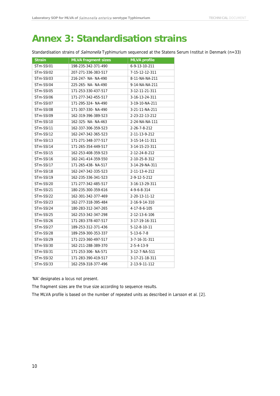### <span id="page-14-0"></span>**Annex 3: Standardisation strains**

Standardisation strains of *Salmonella* Typhimurium sequenced at the Statens Serum Institut in Denmark (n=33)

| <b>Strain</b> | <b>MLVA fragment sizes</b> | <b>MLVA</b> profile  |
|---------------|----------------------------|----------------------|
| STm-SSI01     | 198-235-342-371-490        | 6-9-13-10-211        |
| STm-SSI02     | 207-271-336-383-517        | 7-15-12-12-311       |
| STm-SSI03     | 216-247- NA- NA-490        | 8-11-NA-NA-211       |
| STm-SSI04     | 225-265- NA- NA-490        | 9-14-NA-NA-211       |
| STm-SSI05     | 171-253-330-437-517        | 3-12-11-21-311       |
| STm-SSI06     | 171-277-342-455-517        | 3-16-13-24-311       |
| STm-SSI07     | 171-295-324- NA-490        | 3-19-10-NA-211       |
| STm-SSI08     | 171-307-330- NA-490        | 3-21-11-NA-211       |
| STm-SSI09     | 162-319-396-389-523        | 2-23-22-13-212       |
| STm-SSI10     | 162-325- NA- NA-463        | 2-24-NA-NA-111       |
| STm-SSI11     | 162-337-306-359-523        | 2-26-7-8-212         |
| STm-SSI12     | 162-247-342-365-523        | 2-11-13-9-212        |
| STm-SSI13     | 171-271-348-377-517        | 3-15-14-11-311       |
| STm-SSI14     | 171-265-354-449-517        | 3-14-15-23-311       |
| STm-SSI15     | 162-253-408-359-523        | 2-12-24-8-212        |
| STm-SSI16     | 162-241-414-359-550        | 2-10-25-8-312        |
| STm-SSI17     | 171-265-438-NA-517         | 3-14-29-NA-311       |
| STm-SSI18     | 162-247-342-335-523        | 2-11-13-4-212        |
| STm-SSI19     | 162-235-336-341-523        | 2-9-12-5-212         |
| STm-SSI20     | 171-277-342-485-517        | 3-16-13-29-311       |
| STm-SSI21     | 180-235-300-359-616        | 4-9-6-8-314          |
| STm-SSI22     | 162-301-342-377-469        | 2-20-13-11-12        |
| STm-SSI23     | 162-277-318-395-484        | 2-16-9-14-310        |
| STm-SSI24     | 180-283-312-347-265        | 4-17-8-6-105         |
| STm-SSI25     | 162-253-342-347-298        | 2-12-13-6-106        |
| STm-SSI26     | 171-283-378-407-517        | 3-17-19-16-311       |
| STm-SSI27     | 189-253-312-371-436        | 5-12-8-10-11         |
| STm-SSI28     | 189-259-300-353-337        | $5 - 13 - 6 - 7 - 8$ |
| STm-SSI29     | 171-223-360-497-517        | 3-7-16-31-311        |
| STm-SSI30     | 162-211-288-389-370        | $2 - 5 - 4 - 13 - 9$ |
| STm-SSI31     | 171-253-306- NA-571        | 3-12-7-NA-511        |
| STm-SSI32     | 171-283-390-419-517        | 3-17-21-18-311       |
| STm-SSI33     | 162-259-318-377-496        | 2-13-9-11-112        |

'NA' designates a locus not present.

The fragment sizes are the true size according to sequence results.

The MLVA profile is based on the number of repeated units as described in Larsson et al. [2].